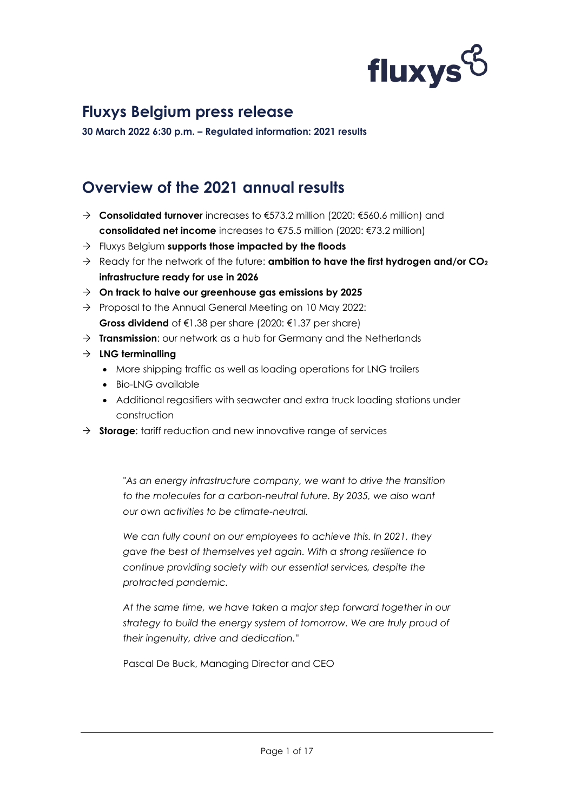

**30 March 2022 6:30 p.m. – Regulated information: 2021 results**

### **Overview of the 2021 annual results**

- **Consolidated turnover** increases to €573.2 million (2020: €560.6 million) and **consolidated net income** increases to €75.5 million (2020: €73.2 million)
- Fluxys Belgium **supports those impacted by the floods**
- Ready for the network of the future: **ambition to have the first hydrogen and/or CO<sup>2</sup> infrastructure ready for use in 2026**
- **On track to halve our greenhouse gas emissions by 2025**
- $\rightarrow$  Proposal to the Annual General Meeting on 10 May 2022: **Gross dividend** of €1.38 per share (2020: €1.37 per share)
- **Transmission**: our network as a hub for Germany and the Netherlands
- **LNG terminalling** 
	- More shipping traffic as well as loading operations for LNG trailers
	- Bio-LNG available
	- Additional regasifiers with seawater and extra truck loading stations under construction
- **Storage**: tariff reduction and new innovative range of services

*"As an energy infrastructure company, we want to drive the transition to the molecules for a carbon-neutral future. By 2035, we also want our own activities to be climate-neutral.*

*We can fully count on our employees to achieve this. In 2021, they gave the best of themselves yet again. With a strong resilience to continue providing society with our essential services, despite the protracted pandemic.* 

*At the same time, we have taken a major step forward together in our strategy to build the energy system of tomorrow. We are truly proud of their ingenuity, drive and dedication."* 

Pascal De Buck, Managing Director and CEO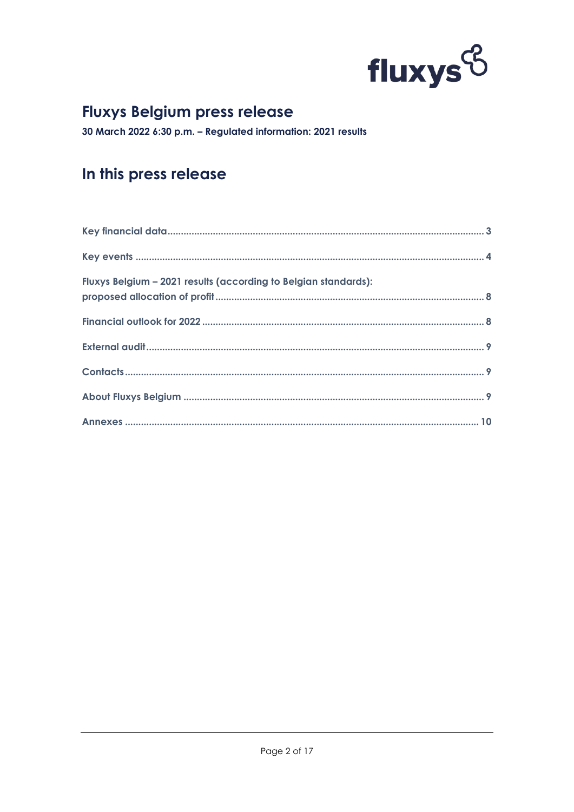

30 March 2022 6:30 p.m. - Regulated information: 2021 results

### In this press release

| Fluxys Belgium - 2021 results (according to Belgian standards): |  |
|-----------------------------------------------------------------|--|
|                                                                 |  |
|                                                                 |  |
|                                                                 |  |
|                                                                 |  |
|                                                                 |  |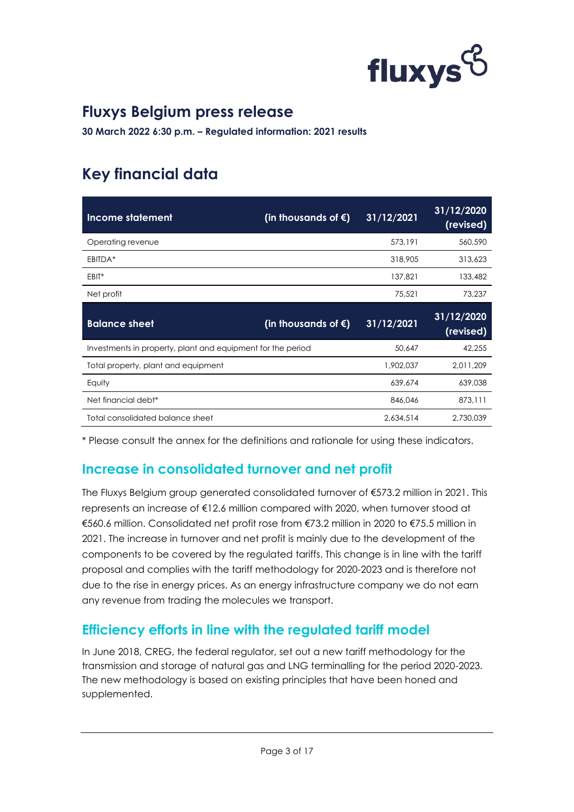

**30 March 2022 6:30 p.m. – Regulated information: 2021 results**

# <span id="page-2-0"></span>**Key financial data**

| <b>Income statement</b>                                     | (in thousands of $\xi$ ) | 31/12/2021 | 31/12/2020<br>(revised) |
|-------------------------------------------------------------|--------------------------|------------|-------------------------|
| Operating revenue                                           |                          | 573,191    | 560,590                 |
| EBITDA*                                                     |                          | 318,905    | 313,623                 |
| EBIT*                                                       |                          | 137,821    | 133,482                 |
| Net profit                                                  |                          | 75,521     | 73,237                  |
|                                                             |                          |            |                         |
| <b>Balance sheet</b>                                        | (in thousands of $\xi$ ) | 31/12/2021 | 31/12/2020<br>(revised) |
| Investments in property, plant and equipment for the period |                          | 50.647     | 42,255                  |
| Total property, plant and equipment                         |                          | 1,902,037  | 2,011,209               |
| Equity                                                      |                          | 639,674    | 639,038                 |
| Net financial debt <sup>*</sup>                             |                          | 846,046    | 873,111                 |

\* Please consult the annex for the definitions and rationale for using these indicators.

#### **Increase in consolidated turnover and net profit**

The Fluxys Belgium group generated consolidated turnover of €573.2 million in 2021. This represents an increase of €12.6 million compared with 2020, when turnover stood at €560.6 million. Consolidated net profit rose from €73.2 million in 2020 to €75.5 million in 2021. The increase in turnover and net profit is mainly due to the development of the components to be covered by the regulated tariffs. This change is in line with the tariff proposal and complies with the tariff methodology for 2020-2023 and is therefore not due to the rise in energy prices. As an energy infrastructure company we do not earn any revenue from trading the molecules we transport.

#### **Efficiency efforts in line with the regulated tariff model**

In June 2018, CREG, the federal regulator, set out a new tariff methodology for the transmission and storage of natural gas and LNG terminalling for the period 2020-2023. The new methodology is based on existing principles that have been honed and supplemented.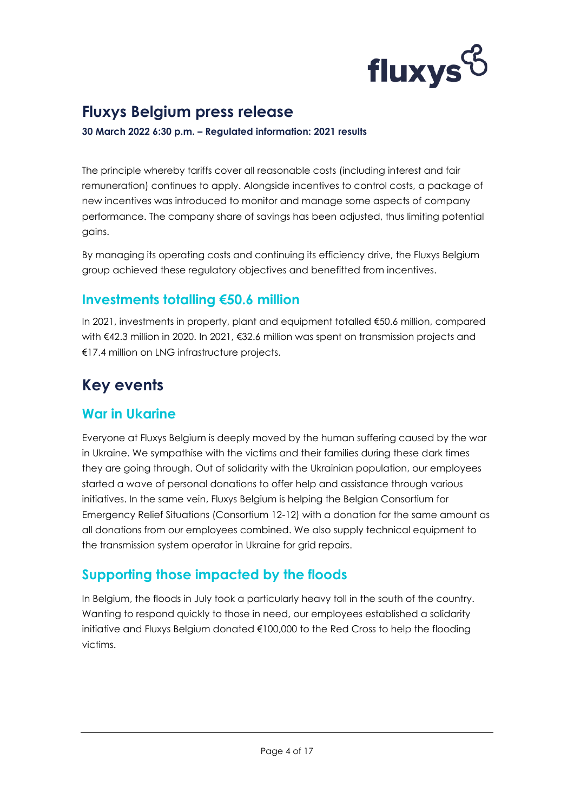

**30 March 2022 6:30 p.m. – Regulated information: 2021 results**

The principle whereby tariffs cover all reasonable costs (including interest and fair remuneration) continues to apply. Alongside incentives to control costs, a package of new incentives was introduced to monitor and manage some aspects of company performance. The company share of savings has been adjusted, thus limiting potential gains.

By managing its operating costs and continuing its efficiency drive, the Fluxys Belgium group achieved these regulatory objectives and benefitted from incentives.

### **Investments totalling €50.6 million**

In 2021, investments in property, plant and equipment totalled €50.6 million, compared with €42.3 million in 2020. In 2021, €32.6 million was spent on transmission projects and €17.4 million on LNG infrastructure projects.

# <span id="page-3-0"></span>**Key events**

#### **War in Ukarine**

Everyone at Fluxys Belgium is deeply moved by the human suffering caused by the war in Ukraine. We sympathise with the victims and their families during these dark times they are going through. Out of solidarity with the Ukrainian population, our employees started a wave of personal donations to offer help and assistance through various initiatives. In the same vein, Fluxys Belgium is helping the Belgian Consortium for Emergency Relief Situations (Consortium 12-12) with a donation for the same amount as all donations from our employees combined. We also supply technical equipment to the transmission system operator in Ukraine for grid repairs.

### **Supporting those impacted by the floods**

In Belgium, the floods in July took a particularly heavy toll in the south of the country. Wanting to respond quickly to those in need, our employees established a solidarity initiative and Fluxys Belgium donated €100,000 to the Red Cross to help the flooding victims.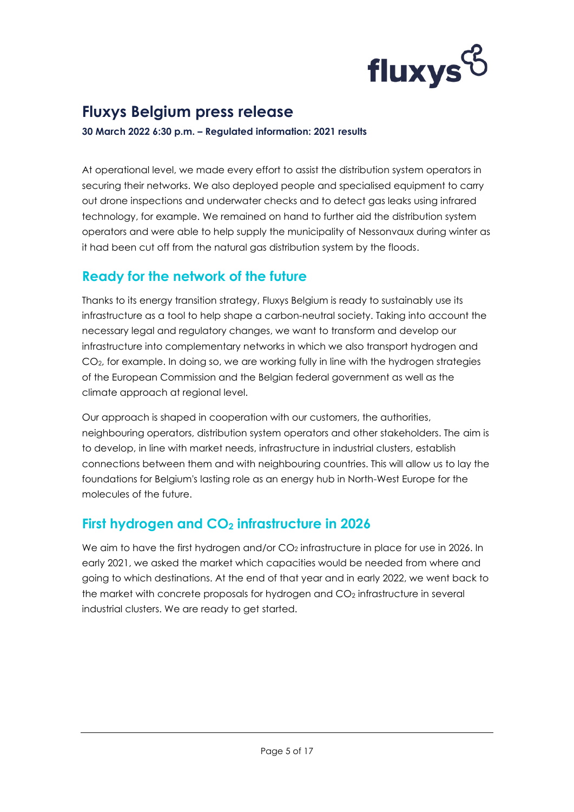

**30 March 2022 6:30 p.m. – Regulated information: 2021 results**

At operational level, we made every effort to assist the distribution system operators in securing their networks. We also deployed people and specialised equipment to carry out drone inspections and underwater checks and to detect gas leaks using infrared technology, for example. We remained on hand to further aid the distribution system operators and were able to help supply the municipality of Nessonvaux during winter as it had been cut off from the natural gas distribution system by the floods.

#### **Ready for the network of the future**

Thanks to its energy transition strategy, Fluxys Belgium is ready to sustainably use its infrastructure as a tool to help shape a carbon-neutral society. Taking into account the necessary legal and regulatory changes, we want to transform and develop our infrastructure into complementary networks in which we also transport hydrogen and CO2, for example. In doing so, we are working fully in line with the hydrogen strategies of the European Commission and the Belgian federal government as well as the climate approach at regional level.

Our approach is shaped in cooperation with our customers, the authorities, neighbouring operators, distribution system operators and other stakeholders. The aim is to develop, in line with market needs, infrastructure in industrial clusters, establish connections between them and with neighbouring countries. This will allow us to lay the foundations for Belgium's lasting role as an energy hub in North-West Europe for the molecules of the future.

#### **First hydrogen and CO<sup>2</sup> infrastructure in 2026**

We aim to have the first hydrogen and/or  $CO<sub>2</sub>$  infrastructure in place for use in 2026. In early 2021, we asked the market which capacities would be needed from where and going to which destinations. At the end of that year and in early 2022, we went back to the market with concrete proposals for hydrogen and CO<sub>2</sub> infrastructure in several industrial clusters. We are ready to get started.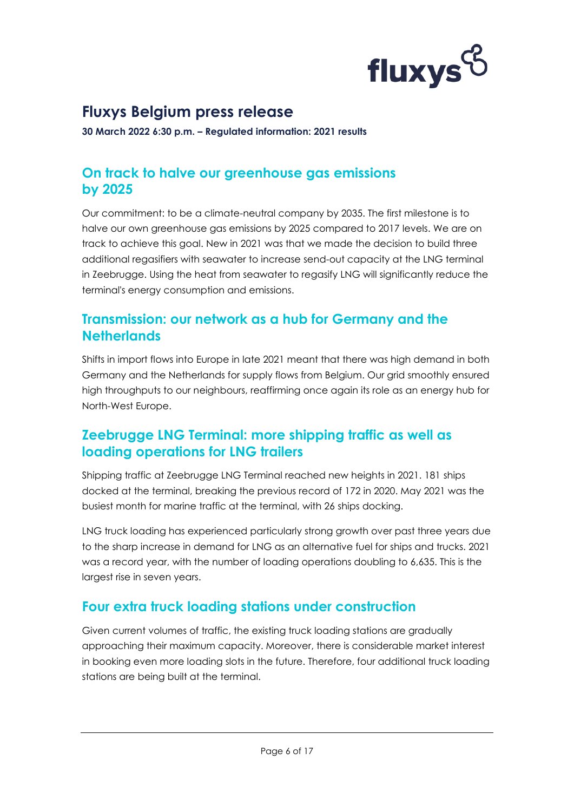

**30 March 2022 6:30 p.m. – Regulated information: 2021 results**

#### **On track to halve our greenhouse gas emissions by 2025**

Our commitment: to be a climate-neutral company by 2035. The first milestone is to halve our own greenhouse gas emissions by 2025 compared to 2017 levels. We are on track to achieve this goal. New in 2021 was that we made the decision to build three additional regasifiers with seawater to increase send-out capacity at the LNG terminal in Zeebrugge. Using the heat from seawater to regasify LNG will significantly reduce the terminal's energy consumption and emissions.

#### **Transmission: our network as a hub for Germany and the Netherlands**

Shifts in import flows into Europe in late 2021 meant that there was high demand in both Germany and the Netherlands for supply flows from Belgium. Our grid smoothly ensured high throughputs to our neighbours, reaffirming once again its role as an energy hub for North-West Europe.

#### **Zeebrugge LNG Terminal: more shipping traffic as well as loading operations for LNG trailers**

Shipping traffic at Zeebrugge LNG Terminal reached new heights in 2021. 181 ships docked at the terminal, breaking the previous record of 172 in 2020. May 2021 was the busiest month for marine traffic at the terminal, with 26 ships docking.

LNG truck loading has experienced particularly strong growth over past three years due to the sharp increase in demand for LNG as an alternative fuel for ships and trucks. 2021 was a record year, with the number of loading operations doubling to 6,635. This is the largest rise in seven years.

#### **Four extra truck loading stations under construction**

Given current volumes of traffic, the existing truck loading stations are gradually approaching their maximum capacity. Moreover, there is considerable market interest in booking even more loading slots in the future. Therefore, four additional truck loading stations are being built at the terminal.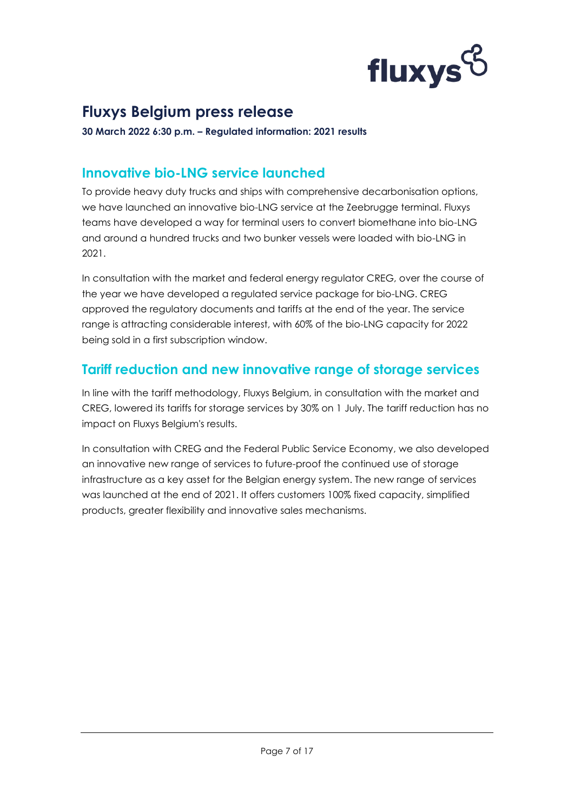

**30 March 2022 6:30 p.m. – Regulated information: 2021 results**

#### **Innovative bio-LNG service launched**

To provide heavy duty trucks and ships with comprehensive decarbonisation options, we have launched an innovative bio-LNG service at the Zeebrugge terminal. Fluxys teams have developed a way for terminal users to convert biomethane into bio-LNG and around a hundred trucks and two bunker vessels were loaded with bio-LNG in 2021.

In consultation with the market and federal energy regulator CREG, over the course of the year we have developed a regulated service package for bio-LNG. CREG approved the regulatory documents and tariffs at the end of the year. The service range is attracting considerable interest, with 60% of the bio-LNG capacity for 2022 being sold in a first subscription window.

#### **Tariff reduction and new innovative range of storage services**

In line with the tariff methodology, Fluxys Belgium, in consultation with the market and CREG, lowered its tariffs for storage services by 30% on 1 July. The tariff reduction has no impact on Fluxys Belgium's results.

In consultation with CREG and the Federal Public Service Economy, we also developed an innovative new range of services to future-proof the continued use of storage infrastructure as a key asset for the Belgian energy system. The new range of services was launched at the end of 2021. It offers customers 100% fixed capacity, simplified products, greater flexibility and innovative sales mechanisms.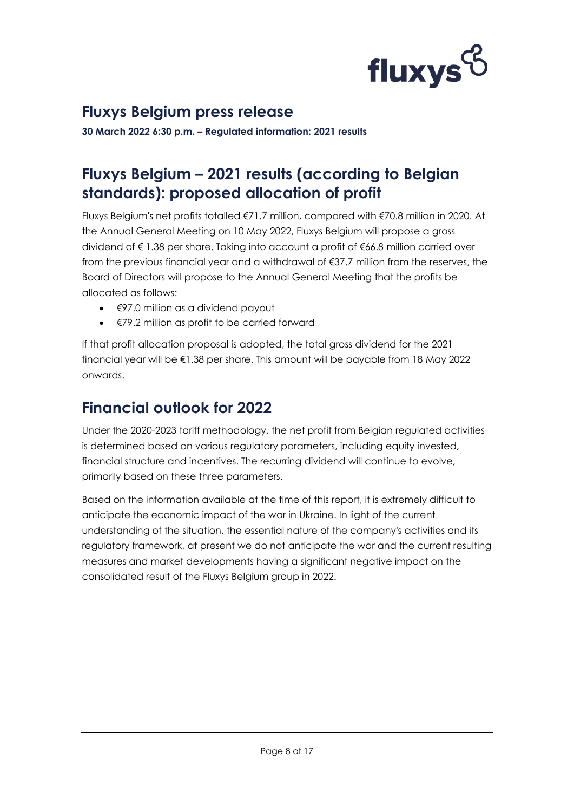

**30 March 2022 6:30 p.m. – Regulated information: 2021 results**

### <span id="page-7-0"></span>**Fluxys Belgium – 2021 results (according to Belgian standards): proposed allocation of profit**

Fluxys Belgium's net profits totalled €71.7 million, compared with €70.8 million in 2020. At the Annual General Meeting on 10 May 2022, Fluxys Belgium will propose a gross dividend of € 1.38 per share. Taking into account a profit of €66.8 million carried over from the previous financial year and a withdrawal of €37.7 million from the reserves, the Board of Directors will propose to the Annual General Meeting that the profits be allocated as follows:

- €97.0 million as a dividend payout
- €79.2 million as profit to be carried forward

If that profit allocation proposal is adopted, the total gross dividend for the 2021 financial year will be €1.38 per share. This amount will be payable from 18 May 2022 onwards.

### <span id="page-7-1"></span>**Financial outlook for 2022**

Under the 2020-2023 tariff methodology, the net profit from Belgian regulated activities is determined based on various regulatory parameters, including equity invested, financial structure and incentives. The recurring dividend will continue to evolve, primarily based on these three parameters.

Based on the information available at the time of this report, it is extremely difficult to anticipate the economic impact of the war in Ukraine. In light of the current understanding of the situation, the essential nature of the company's activities and its regulatory framework, at present we do not anticipate the war and the current resulting measures and market developments having a significant negative impact on the consolidated result of the Fluxys Belgium group in 2022.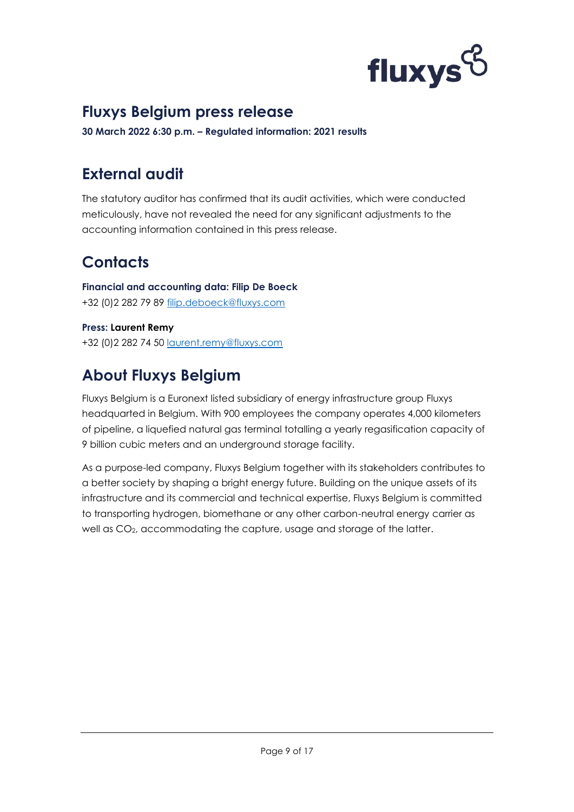

**30 March 2022 6:30 p.m. – Regulated information: 2021 results**

### <span id="page-8-0"></span>**External audit**

The statutory auditor has confirmed that its audit activities, which were conducted meticulously, have not revealed the need for any significant adjustments to the accounting information contained in this press release.

# <span id="page-8-1"></span>**Contacts**

**Financial and accounting data: Filip De Boeck** +32 (0)2 282 79 89 [filip.deboeck@fluxys.com](mailto:filip.deboeck@fluxys.com)

**Press: Laurent Remy** +32 (0)2 282 74 50 [laurent.remy@fluxys.com](mailto:laurent.remy@fluxys.com)

# <span id="page-8-2"></span>**About Fluxys Belgium**

Fluxys Belgium is a Euronext listed subsidiary of energy infrastructure group Fluxys headquarted in Belgium. With 900 employees the company operates 4,000 kilometers of pipeline, a liquefied natural gas terminal totalling a yearly regasification capacity of 9 billion cubic meters and an underground storage facility.

As a purpose-led company, Fluxys Belgium together with its stakeholders contributes to a better society by shaping a bright energy future. Building on the unique assets of its infrastructure and its commercial and technical expertise, Fluxys Belgium is committed to transporting hydrogen, biomethane or any other carbon-neutral energy carrier as well as CO2, accommodating the capture, usage and storage of the latter.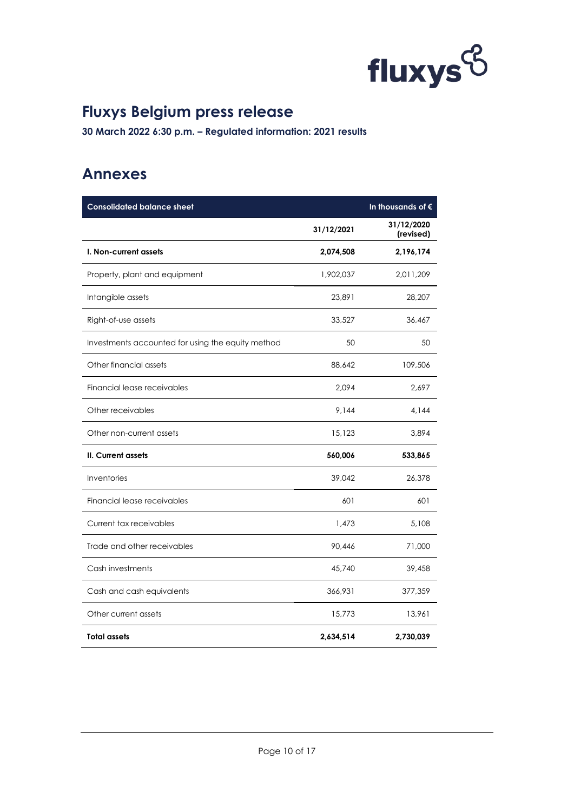

**30 March 2022 6:30 p.m. – Regulated information: 2021 results**

### <span id="page-9-0"></span>**Annexes**

| <b>Consolidated balance sheet</b>                 |            | In thousands of $\epsilon$ |
|---------------------------------------------------|------------|----------------------------|
|                                                   | 31/12/2021 | 31/12/2020<br>(revised)    |
| I. Non-current assets                             | 2,074,508  | 2,196,174                  |
| Property, plant and equipment                     | 1,902,037  | 2,011,209                  |
| Intangible assets                                 | 23,891     | 28,207                     |
| Right-of-use assets                               | 33,527     | 36,467                     |
| Investments accounted for using the equity method | 50         | 50                         |
| Other financial assets                            | 88,642     | 109,506                    |
| Financial lease receivables                       | 2,094      | 2,697                      |
| Other receivables                                 | 9,144      | 4,144                      |
| Other non-current assets                          | 15,123     | 3,894                      |
| <b>II. Current assets</b>                         | 560,006    | 533,865                    |
| Inventories                                       | 39,042     | 26,378                     |
| Financial lease receivables                       | 601        | 601                        |
| Current tax receivables                           | 1,473      | 5,108                      |
| Trade and other receivables                       | 90,446     | 71,000                     |
| Cash investments                                  | 45,740     | 39,458                     |
| Cash and cash equivalents                         | 366,931    | 377,359                    |
| Other current assets                              | 15,773     | 13,961                     |
| Total assets                                      | 2,634,514  | 2,730,039                  |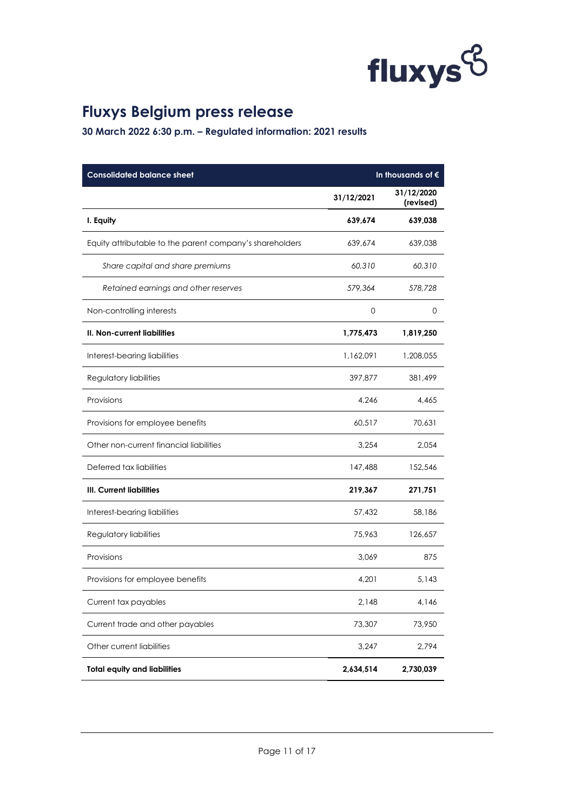

| <b>Consolidated balance sheet</b>                        | In thousands of $\epsilon$ |                         |  |
|----------------------------------------------------------|----------------------------|-------------------------|--|
|                                                          | 31/12/2021                 | 31/12/2020<br>(revised) |  |
| I. Equity                                                | 639,674                    | 639,038                 |  |
| Equity attributable to the parent company's shareholders | 639,674                    | 639,038                 |  |
| Share capital and share premiums                         | 60,310                     | 60,310                  |  |
| Retained earnings and other reserves                     | 579,364                    | 578,728                 |  |
| Non-controlling interests                                | 0                          | 0                       |  |
| II. Non-current liabilities                              | 1,775,473                  | 1,819,250               |  |
| Interest-bearing liabilities                             | 1,162,091                  | 1,208,055               |  |
| Regulatory liabilities                                   | 397,877                    | 381,499                 |  |
| Provisions                                               | 4,246                      | 4,465                   |  |
| Provisions for employee benefits                         | 60,517                     | 70,631                  |  |
| Other non-current financial liabilities                  | 3,254                      | 2,054                   |  |
| Deferred tax liabilities                                 | 147,488                    | 152,546                 |  |
| <b>III. Current liabilities</b>                          | 219,367                    | 271,751                 |  |
| Interest-bearing liabilities                             | 57,432                     | 58,186                  |  |
| Regulatory liabilities                                   | 75,963                     | 126,657                 |  |
| Provisions                                               | 3,069                      | 875                     |  |
| Provisions for employee benefits                         | 4,201                      | 5,143                   |  |
| Current tax payables                                     | 2,148                      | 4,146                   |  |
| Current trade and other payables                         | 73,307                     | 73,950                  |  |
| Other current liabilities                                | 3,247                      | 2,794                   |  |
| <b>Total equity and liabilities</b>                      | 2,634,514                  | 2,730,039               |  |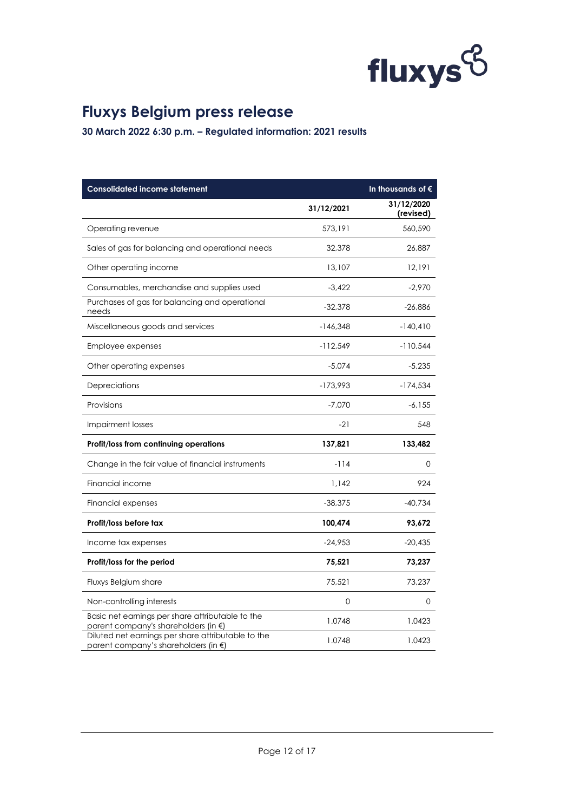

| <b>Consolidated income statement</b>                                                       | In thousands of $\epsilon$ |                         |  |
|--------------------------------------------------------------------------------------------|----------------------------|-------------------------|--|
|                                                                                            | 31/12/2021                 | 31/12/2020<br>(revised) |  |
| Operating revenue                                                                          | 573,191                    | 560,590                 |  |
| Sales of gas for balancing and operational needs                                           | 32,378                     | 26,887                  |  |
| Other operating income                                                                     | 13,107                     | 12,191                  |  |
| Consumables, merchandise and supplies used                                                 | $-3,422$                   | $-2,970$                |  |
| Purchases of gas for balancing and operational<br>needs                                    | $-32,378$                  | $-26,886$               |  |
| Miscellaneous goods and services                                                           | $-146,348$                 | $-140,410$              |  |
| Employee expenses                                                                          | $-112,549$                 | $-110,544$              |  |
| Other operating expenses                                                                   | $-5,074$                   | $-5,235$                |  |
| Depreciations                                                                              | $-173,993$                 | $-174,534$              |  |
| Provisions                                                                                 | $-7,070$                   | $-6, 155$               |  |
| <b>Impairment losses</b>                                                                   | $-21$                      | 548                     |  |
| Profit/loss from continuing operations                                                     | 137,821                    | 133,482                 |  |
| Change in the fair value of financial instruments                                          | $-114$                     | 0                       |  |
| Financial income                                                                           | 1,142                      | 924                     |  |
| Financial expenses                                                                         | $-38,375$                  | $-40,734$               |  |
| Profit/loss before tax                                                                     | 100,474                    | 93,672                  |  |
| Income tax expenses                                                                        | $-24,953$                  | $-20,435$               |  |
| Profit/loss for the period                                                                 | 75,521                     | 73,237                  |  |
| Fluxys Belgium share                                                                       | 75,521                     | 73,237                  |  |
| Non-controlling interests                                                                  | 0                          | 0                       |  |
| Basic net earnings per share attributable to the<br>parent company's shareholders (in €)   | 1.0748                     | 1.0423                  |  |
| Diluted net earnings per share attributable to the<br>parent company's shareholders (in €) | 1.0748                     | 1.0423                  |  |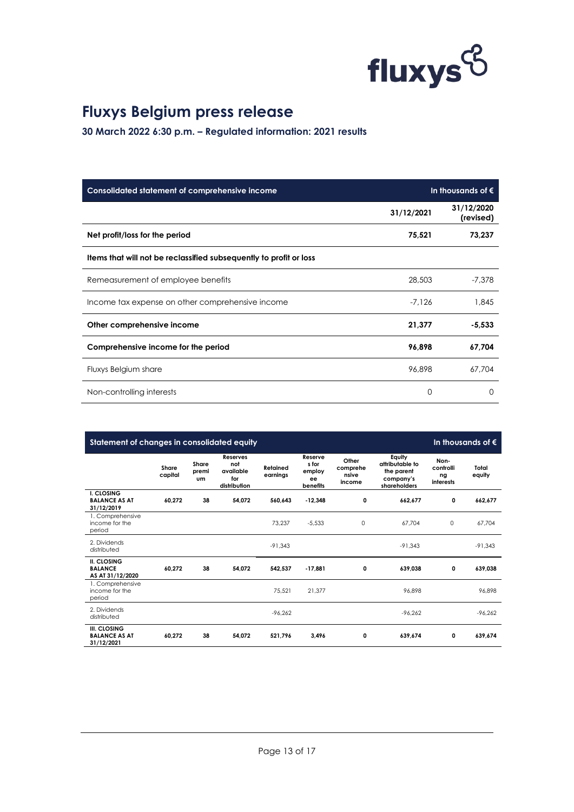

| Consolidated statement of comprehensive income                     |            | In thousands of $\epsilon$ |
|--------------------------------------------------------------------|------------|----------------------------|
|                                                                    | 31/12/2021 | 31/12/2020<br>(revised)    |
| Net profit/loss for the period                                     | 75,521     | 73,237                     |
| Items that will not be reclassified subsequently to profit or loss |            |                            |
| Remeasurement of employee benefits                                 | 28,503     | $-7,378$                   |
| Income tax expense on other comprehensive income                   | $-7.126$   | 1.845                      |
| Other comprehensive income                                         | 21,377     | $-5,533$                   |
| Comprehensive income for the period                                | 96,898     | 67,704                     |
| Fluxys Belgium share                                               | 96,898     | 67.704                     |
| Non-controlling interests                                          | $\Omega$   | O                          |

| Statement of changes in consolidated equity              |                  |                             |                                                            |                      |                                              |                                      |                                                                      |                                      | In thousands of $\epsilon$ |
|----------------------------------------------------------|------------------|-----------------------------|------------------------------------------------------------|----------------------|----------------------------------------------|--------------------------------------|----------------------------------------------------------------------|--------------------------------------|----------------------------|
|                                                          | Share<br>capital | Share<br>premi<br><b>um</b> | <b>Reserves</b><br>not<br>available<br>for<br>distribution | Retained<br>earnings | Reserve<br>s for<br>employ<br>ee<br>benefits | Other<br>comprehe<br>nsive<br>income | Equity<br>attributable to<br>the parent<br>company's<br>shareholders | Non-<br>controlli<br>ng<br>interests | Total<br>equity            |
| I. CLOSING<br><b>BALANCE AS AT</b><br>31/12/2019         | 60,272           | 38                          | 54,072                                                     | 560.643              | $-12.348$                                    | 0                                    | 662,677                                                              | 0                                    | 662,677                    |
| 1. Comprehensive<br>income for the<br>period             |                  |                             |                                                            | 73,237               | $-5,533$                                     | $\circ$                              | 67,704                                                               | 0                                    | 67,704                     |
| 2. Dividends<br>distributed                              |                  |                             |                                                            | $-91.343$            |                                              |                                      | $-91.343$                                                            |                                      | $-91.343$                  |
| <b>II. CLOSING</b><br><b>BALANCE</b><br>AS AT 31/12/2020 | 60,272           | 38                          | 54,072                                                     | 542,537              | $-17,881$                                    | 0                                    | 639,038                                                              | 0                                    | 639,038                    |
| 1. Comprehensive<br>income for the<br>period             |                  |                             |                                                            | 75,521               | 21.377                                       |                                      | 96.898                                                               |                                      | 96.898                     |
| 2. Dividends<br>distributed                              |                  |                             |                                                            | $-96,262$            |                                              |                                      | $-96,262$                                                            |                                      | $-96,262$                  |
| III. CLOSING<br><b>BALANCE AS AT</b><br>31/12/2021       | 60.272           | 38                          | 54.072                                                     | 521.796              | 3.496                                        | 0                                    | 639.674                                                              | 0                                    | 639.674                    |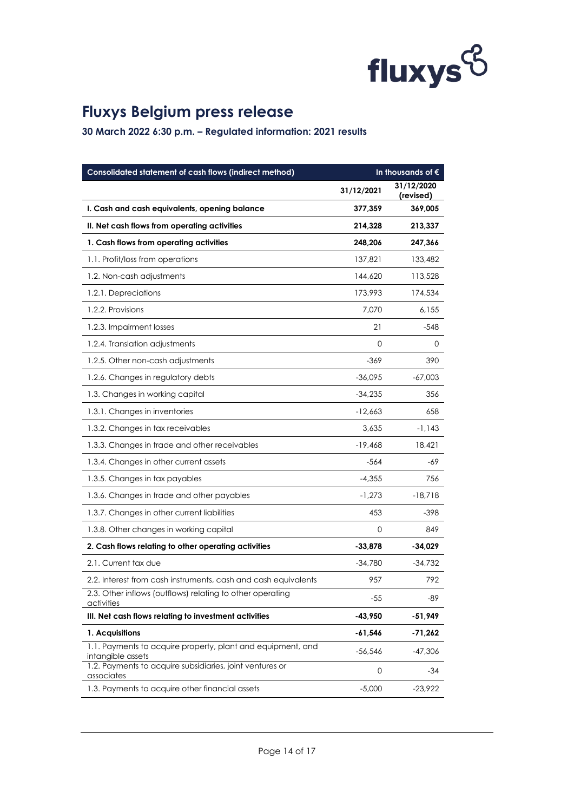

| Consolidated statement of cash flows (indirect method)                           | In thousands of $\epsilon$ |                         |
|----------------------------------------------------------------------------------|----------------------------|-------------------------|
|                                                                                  | 31/12/2021                 | 31/12/2020<br>(revised) |
| I. Cash and cash equivalents, opening balance                                    | 377,359                    | 369,005                 |
| II. Net cash flows from operating activities                                     | 214,328                    | 213,337                 |
| 1. Cash flows from operating activities                                          | 248,206                    | 247,366                 |
| 1.1. Profit/loss from operations                                                 | 137,821                    | 133,482                 |
| 1.2. Non-cash adjustments                                                        | 144,620                    | 113,528                 |
| 1.2.1. Depreciations                                                             | 173,993                    | 174,534                 |
| 1.2.2. Provisions                                                                | 7,070                      | 6,155                   |
| 1.2.3. Impairment losses                                                         | 21                         | $-548$                  |
| 1.2.4. Translation adjustments                                                   | 0                          | 0                       |
| 1.2.5. Other non-cash adjustments                                                | $-369$                     | 390                     |
| 1.2.6. Changes in regulatory debts                                               | $-36,095$                  | $-67,003$               |
| 1.3. Changes in working capital                                                  | $-34,235$                  | 356                     |
| 1.3.1. Changes in inventories                                                    | $-12,663$                  | 658                     |
| 1.3.2. Changes in tax receivables                                                | 3,635                      | $-1,143$                |
| 1.3.3. Changes in trade and other receivables                                    | $-19,468$                  | 18,421                  |
| 1.3.4. Changes in other current assets                                           | $-564$                     | -69                     |
| 1.3.5. Changes in tax payables                                                   | $-4,355$                   | 756                     |
| 1.3.6. Changes in trade and other payables                                       | $-1,273$                   | $-18,718$               |
| 1.3.7. Changes in other current liabilities                                      | 453                        | $-398$                  |
| 1.3.8. Other changes in working capital                                          | 0                          | 849                     |
| 2. Cash flows relating to other operating activities                             | $-33,878$                  | $-34,029$               |
| 2.1. Current tax due                                                             | $-34,780$                  | $-34,732$               |
| 2.2. Interest from cash instruments, cash and cash equivalents                   | 957                        | 792                     |
| 2.3. Other inflows (outflows) relating to other operating<br>activities          | $-55$                      | $-89$                   |
| III. Net cash flows relating to investment activities                            | $-43,950$                  | $-51,949$               |
| 1. Acquisitions                                                                  | -61,546                    | -71,262                 |
| 1.1. Payments to acquire property, plant and equipment, and<br>intangible assets | $-56,546$                  | $-47,306$               |
| 1.2. Payments to acquire subsidiaries, joint ventures or<br>associates           | 0                          | -34                     |
| 1.3. Payments to acquire other financial assets                                  | $-5,000$                   | $-23,922$               |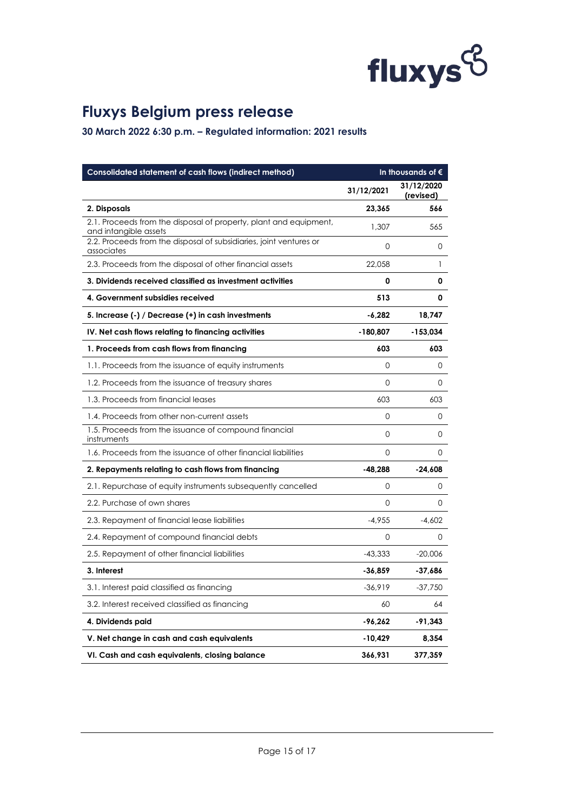

| Consolidated statement of cash flows (indirect method)                                     | In thousands of $\epsilon$ |                         |  |
|--------------------------------------------------------------------------------------------|----------------------------|-------------------------|--|
|                                                                                            | 31/12/2021                 | 31/12/2020<br>(revised) |  |
| 2. Disposals                                                                               | 23,365                     | 566                     |  |
| 2.1. Proceeds from the disposal of property, plant and equipment,<br>and intangible assets | 1,307                      | 565                     |  |
| 2.2. Proceeds from the disposal of subsidiaries, joint ventures or<br>associates           | $\Omega$                   | 0                       |  |
| 2.3. Proceeds from the disposal of other financial assets                                  | 22,058                     | 1                       |  |
| 3. Dividends received classified as investment activities                                  | 0                          | 0                       |  |
| 4. Government subsidies received                                                           | 513                        | 0                       |  |
| 5. Increase (-) / Decrease (+) in cash investments                                         | $-6,282$                   | 18,747                  |  |
| IV. Net cash flows relating to financing activities                                        | $-180,807$                 | -153,034                |  |
| 1. Proceeds from cash flows from financing                                                 | 603                        | 603                     |  |
| 1.1. Proceeds from the issuance of equity instruments                                      | $\Omega$                   | $\Omega$                |  |
| 1.2. Proceeds from the issuance of treasury shares                                         | $\Omega$                   | $\Omega$                |  |
| 1.3. Proceeds from financial leases                                                        | 603                        | 603                     |  |
| 1.4. Proceeds from other non-current assets                                                | 0                          | 0                       |  |
| 1.5. Proceeds from the issuance of compound financial<br>instruments                       | $\Omega$                   | 0                       |  |
| 1.6. Proceeds from the issuance of other financial liabilities                             | 0                          | 0                       |  |
| 2. Repayments relating to cash flows from financing                                        | $-48,288$                  | $-24,608$               |  |
| 2.1. Repurchase of equity instruments subsequently cancelled                               | 0                          | 0                       |  |
| 2.2. Purchase of own shares                                                                | $\Omega$                   | 0                       |  |
| 2.3. Repayment of financial lease liabilities                                              | $-4,955$                   | $-4,602$                |  |
| 2.4. Repayment of compound financial debts                                                 | 0                          | 0                       |  |
| 2.5. Repayment of other financial liabilities                                              | $-43,333$                  | $-20,006$               |  |
| 3. Interest                                                                                | -36,859                    | -37,686                 |  |
| 3.1. Interest paid classified as financing                                                 | $-36,919$                  | $-37,750$               |  |
| 3.2. Interest received classified as financing                                             | 60                         | 64                      |  |
| 4. Dividends paid                                                                          | $-96,262$                  | $-91,343$               |  |
| V. Net change in cash and cash equivalents                                                 | $-10,429$                  | 8,354                   |  |
| VI. Cash and cash equivalents, closing balance                                             | 366,931                    | 377,359                 |  |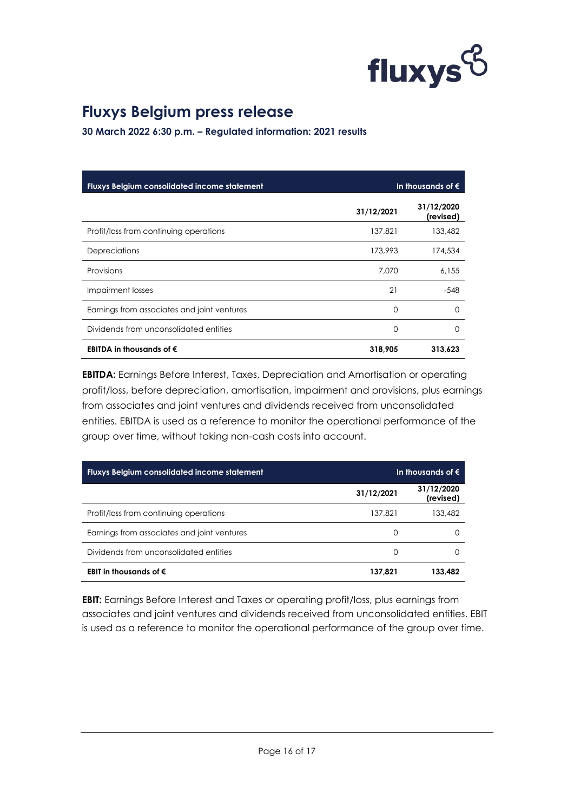

**30 March 2022 6:30 p.m. – Regulated information: 2021 results**

| <b>Fluxys Belgium consolidated income statement</b> | In thousands of $\epsilon$ |                         |  |
|-----------------------------------------------------|----------------------------|-------------------------|--|
|                                                     | 31/12/2021                 | 31/12/2020<br>(revised) |  |
| Profit/loss from continuing operations              | 137.821                    | 133,482                 |  |
| Depreciations                                       | 173,993                    | 174,534                 |  |
| Provisions                                          | 7.070                      | 6,155                   |  |
| Impairment losses                                   | 21                         | $-548$                  |  |
| Earnings from associates and joint ventures         | 0                          | $\left( \right)$        |  |
| Dividends from unconsolidated entities              | 0                          | O                       |  |
| EBITDA in thousands of $\epsilon$                   | 318,905                    | 313,623                 |  |

**EBITDA:** Earnings Before Interest, Taxes, Depreciation and Amortisation or operating profit/loss, before depreciation, amortisation, impairment and provisions, plus earnings from associates and joint ventures and dividends received from unconsolidated entities. EBITDA is used as a reference to monitor the operational performance of the group over time, without taking non-cash costs into account.

| Fluxys Belgium consolidated income statement |            | In thousands of $\epsilon$ |
|----------------------------------------------|------------|----------------------------|
|                                              | 31/12/2021 | 31/12/2020<br>(revised)    |
| Profit/loss from continuing operations       | 137.821    | 133,482                    |
| Earnings from associates and joint ventures  | $\Omega$   |                            |
| Dividends from unconsolidated entities       | $\Omega$   |                            |
| EBIT in thousands of $\epsilon$              | 137.821    | 133.482                    |

**EBIT:** Earnings Before Interest and Taxes or operating profit/loss, plus earnings from associates and joint ventures and dividends received from unconsolidated entities. EBIT is used as a reference to monitor the operational performance of the group over time.